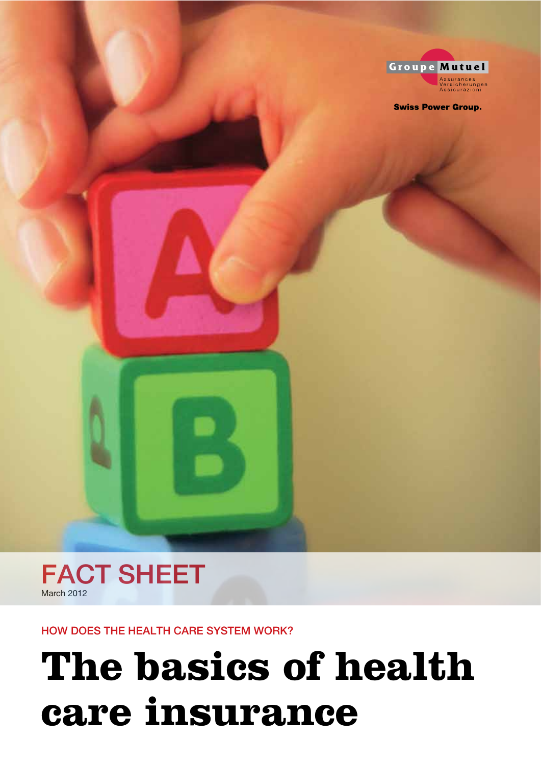

**Swiss Power Group.** 



HOW DOES THE HEALTH CARE SYSTEM WORK?

# **The basics of health** care insurance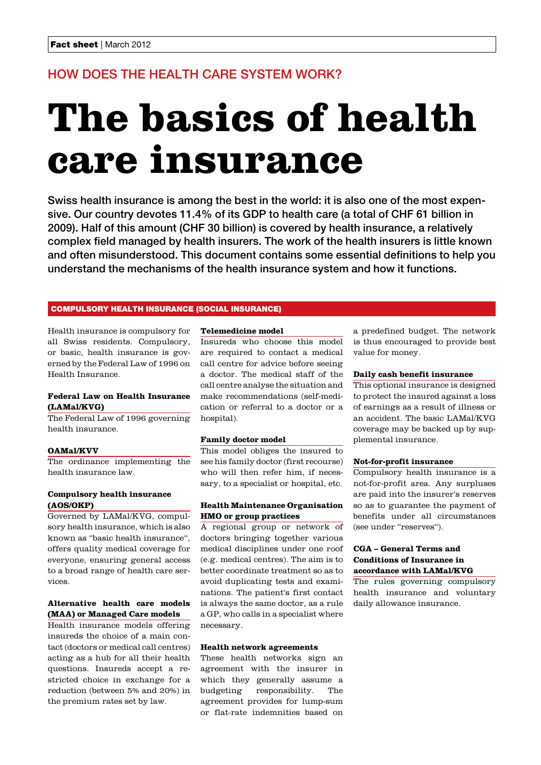# HOW DOES THE HEALTH CARE SYSTEM WORK?

# **The basics of health care insurance**

Swiss health insurance is among the best in the world: it is also one of the most expensive. Our country devotes 11.4% of its GDP to health care (a total of CHF 61 billion in 2009). Half of this amount (CHF 30 billion) is covered by health insurance, a relatively complex field managed by health insurers. The work of the health insurers is little known and often misunderstood. This document contains some essential definitions to help you understand the mechanisms of the health insurance system and how it functions.

# COMPULSORY HEALTH INSURANCE (SOCIAL INSURANCE)

Health insurance is compulsory for all Swiss residents. Compulsory, or basic, health insurance is governed by the Federal Law of 1996 on Health Insurance.

# **Federal Law on Health Insurance (LAMal/KVG)**

The Federal Law of 1996 governing health insurance.

# **OAMal/KVV**

The ordinance implementing the health insurance law.

# **Compulsory health insurance (AOS/OKP)**

Governed by LAMal/KVG, compulsory health insurance, which is also known as "basic health insurance", offers quality medical coverage for everyone, ensuring general access to a broad range of health care services.

# **Alternative health care models (MAA) or Managed Care models**

Health insurance models offering insureds the choice of a main contact (doctors or medical call centres) acting as a hub for all their health questions. Insureds accept a restricted choice in exchange for a reduction (between 5% and 20%) in the premium rates set by law.

# **Telemedicine model**

Insureds who choose this model are required to contact a medical call centre for advice before seeing a doctor. The medical staff of the call centre analyse the situation and make recommendations (self-medication or referral to a doctor or a hospital).

#### **Family doctor model**

This model obliges the insured to see his family doctor (first recourse) who will then refer him, if necessary, to a specialist or hospital, etc.

# **Health Maintenance Organisation HMO or group practices**

A regional group or network of doctors bringing together various medical disciplines under one roof (e.g. medical centres). The aim is to better coordinate treatment so as to avoid duplicating tests and examinations. The patient's first contact is always the same doctor, as a rule a GP, who calls in a specialist where necessary.

#### **Health network agreements**

These health networks sign an agreement with the insurer in which they generally assume a budgeting responsibility. The agreement provides for lump-sum or flat-rate indemnities based on a predefined budget. The network is thus encouraged to provide best value for money.

# **Daily cash benefit insurance**

This optional insurance is designed to protect the insured against a loss of earnings as a result of illness or an accident. The basic LAMal/KVG coverage may be backed up by supplemental insurance.

### **Not-for-profit insurance**

Compulsory health insurance is a not-for-profit area. Any surpluses are paid into the insurer's reserves so as to guarantee the payment of benefits under all circumstances (see under "reserves").

# **CGA – General Terms and Conditions of Insurance in accordance with LAMal/KVG**

The rules governing compulsory health insurance and voluntary daily allowance insurance.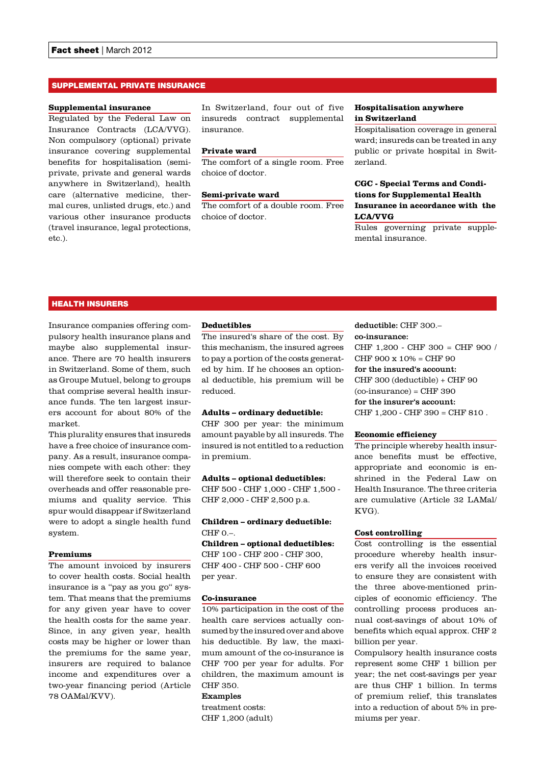# SUPPLEMENTAL PRIVATE INSURANCE

#### **Supplemental insurance**

Regulated by the Federal Law on Insurance Contracts (LCA/VVG). Non compulsory (optional) private insurance covering supplemental benefits for hospitalisation (semiprivate, private and general wards anywhere in Switzerland), health care (alternative medicine, thermal cures, unlisted drugs, etc.) and various other insurance products (travel insurance, legal protections, etc.).

In Switzerland, four out of five insureds contract supplemental insurance.

# **Private ward**

The comfort of a single room. Free choice of doctor.

# **Semi-private ward**

The comfort of a double room. Free choice of doctor.

# **Hospitalisation anywhere in Switzerland**

Hospitalisation coverage in general ward; insureds can be treated in any public or private hospital in Switzerland.

# **CGC - Special Terms and Conditions for Supplemental Health Insurance in accordance with the LCA/VVG**

Rules governing private supplemental insurance.

# HEALTH INSURERS

Insurance companies offering compulsory health insurance plans and maybe also supplemental insurance. There are 70 health insurers in Switzerland. Some of them, such as Groupe Mutuel, belong to groups that comprise several health insurance funds. The ten largest insurers account for about 80% of the market.

This plurality ensures that insureds have a free choice of insurance company. As a result, insurance companies compete with each other: they will therefore seek to contain their overheads and offer reasonable premiums and quality service. This spur would disappear if Switzerland were to adopt a single health fund system.

### **Premiums**

The amount invoiced by insurers to cover health costs. Social health insurance is a "pay as you go" system. That means that the premiums for any given year have to cover the health costs for the same year. Since, in any given year, health costs may be higher or lower than the premiums for the same year, insurers are required to balance income and expenditures over a two-year financing period (Article 78 OAMal/KVV).

#### **Deductibles**

The insured's share of the cost. By this mechanism, the insured agrees to pay a portion of the costs generated by him. If he chooses an optional deductible, his premium will be reduced.

# **Adults – ordinary deductible:**

CHF 300 per year: the minimum amount payable by all insureds. The insured is not entitled to a reduction in premium.

#### **Adults – optional deductibles:**

CHF 500 - CHF 1,000 - CHF 1,500 - CHF 2,000 - CHF 2,500 p.a.

# **Children – ordinary deductible:** CHF 0.–.

**Children – optional deductibles:**  CHF 100 - CHF 200 - CHF 300, CHF 400 - CHF 500 - CHF 600 per year.

#### **Co-insurance**

10% participation in the cost of the health care services actually consumed by the insured over and above his deductible. By law, the maximum amount of the co-insurance is CHF 700 per year for adults. For children, the maximum amount is CHF 350.

#### Examples

treatment costs: CHF 1,200 (adult)

deductible: CHF 300.– co-insurance: CHF 1,200 - CHF 300 = CHF 900 / CHF 900 x 10% = CHF 90 for the insured's account: CHF 300 (deductible) + CHF 90  $(co\text{-}insurance) = CHF 390$ for the insurer's account: CHF 1,200 - CHF 390 = CHF 810 .

### **Economic efficiency**

The principle whereby health insurance benefits must be effective, appropriate and economic is enshrined in the Federal Law on Health Insurance. The three criteria are cumulative (Article 32 LAMal/ KVG).

# **Cost controlling**

Cost controlling is the essential procedure whereby health insurers verify all the invoices received to ensure they are consistent with the three above-mentioned principles of economic efficiency. The controlling process produces annual cost-savings of about 10% of benefits which equal approx. CHF 2 billion per year.

Compulsory health insurance costs represent some CHF 1 billion per year; the net cost-savings per year are thus CHF 1 billion. In terms of premium relief, this translates into a reduction of about 5% in premiums per year.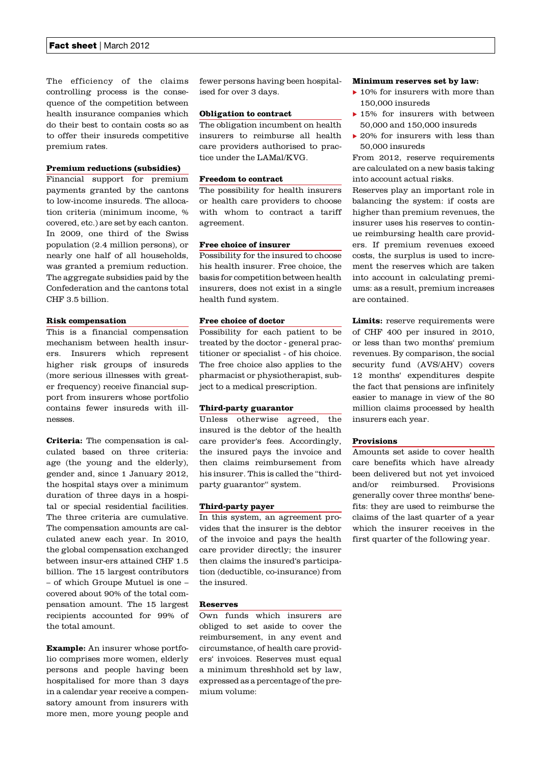The efficiency of the claims controlling process is the consequence of the competition between health insurance companies which do their best to contain costs so as to offer their insureds competitive premium rates.

# **Premium reductions (subsidies)**

Financial support for premium payments granted by the cantons to low-income insureds. The allocation criteria (minimum income, % covered, etc.) are set by each canton. In 2009, one third of the Swiss population (2.4 million persons), or nearly one half of all households, was granted a premium reduction. The aggregate subsidies paid by the Confederation and the cantons total CHF 3.5 billion.

#### **Risk compensation**

This is a financial compensation mechanism between health insurers. Insurers which represent higher risk groups of insureds (more serious illnesses with greater frequency) receive financial support from insurers whose portfolio contains fewer insureds with illnesses.

**Criteria:** The compensation is calculated based on three criteria: age (the young and the elderly), gender and, since 1 January 2012, the hospital stays over a minimum duration of three days in a hospital or special residential facilities. The three criteria are cumulative. The compensation amounts are calculated anew each year. In 2010, the global compensation exchanged between insur-ers attained CHF 1.5 billion. The 15 largest contributors – of which Groupe Mutuel is one – covered about 90% of the total compensation amount. The 15 largest recipients accounted for 99% of the total amount.

**Example:** An insurer whose portfolio comprises more women, elderly persons and people having been hospitalised for more than 3 days in a calendar year receive a compensatory amount from insurers with more men, more young people and

fewer persons having been hospitalised for over 3 days.

# **Obligation to contract**

The obligation incumbent on health insurers to reimburse all health care providers authorised to practice under the LAMal/KVG.

# **Freedom to contract**

The possibility for health insurers or health care providers to choose with whom to contract a tariff agreement.

# **Free choice of insurer**

Possibility for the insured to choose his health insurer. Free choice, the basis for competition between health insurers, does not exist in a single health fund system.

# **Free choice of doctor**

Possibility for each patient to be treated by the doctor - general practitioner or specialist - of his choice. The free choice also applies to the pharmacist or physiotherapist, subject to a medical prescription.

# **Third-party guarantor**

Unless otherwise agreed, the insured is the debtor of the health care provider's fees. Accordingly, the insured pays the invoice and then claims reimbursement from his insurer. This is called the "thirdparty guarantor" system.

#### **Third-party payer**

In this system, an agreement provides that the insurer is the debtor of the invoice and pays the health care provider directly; the insurer then claims the insured's participation (deductible, co-insurance) from the insured.

# **Reserves**

Own funds which insurers are obliged to set aside to cover the reimbursement, in any event and circumstance, of health care providers' invoices. Reserves must equal a minimum threshhold set by law, expressed as a percentage of the premium volume:

#### **Minimum reserves set by law:**

- $\blacktriangleright$  10% for insurers with more than 150,000 insureds
- $\blacktriangleright$  15% for insurers with between 50,000 and 150,000 insureds
- $\triangleright$  20% for insurers with less than 50,000 insureds

From 2012, reserve requirements are calculated on a new basis taking into account actual risks.

Reserves play an important role in balancing the system: if costs are higher than premium revenues, the insurer uses his reserves to continue reimbursing health care providers. If premium revenues exceed costs, the surplus is used to increment the reserves which are taken into account in calculating premiums: as a result, premium increases are contained.

Limits: reserve requirements were of CHF 400 per insured in 2010, or less than two months' premium revenues. By comparison, the social security fund (AVS/AHV) covers 12 months' expenditures despite the fact that pensions are infinitely easier to manage in view of the 80 million claims processed by health insurers each year.

# **Provisions**

Amounts set aside to cover health care benefits which have already been delivered but not yet invoiced and/or reimbursed. Provisions generally cover three months' benefits: they are used to reimburse the claims of the last quarter of a year which the insurer receives in the first quarter of the following year.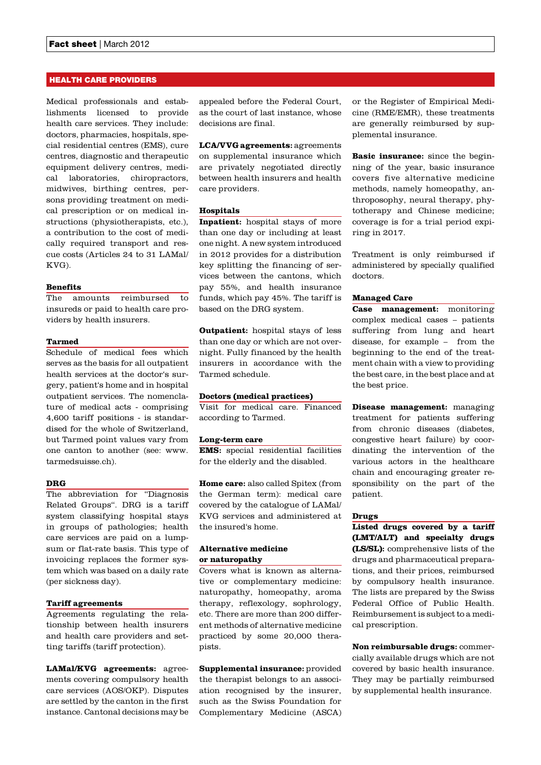# HEALTH CARE PROVIDERS

Medical professionals and establishments licensed to provide health care services. They include: doctors, pharmacies, hospitals, special residential centres (EMS), cure centres, diagnostic and therapeutic equipment delivery centres, medical laboratories, chiropractors, midwives, birthing centres, persons providing treatment on medical prescription or on medical instructions (physiotherapists, etc.), a contribution to the cost of medically required transport and rescue costs (Articles 24 to 31 LAMal/ KVG).

#### **Benefits**

The amounts reimbursed to insureds or paid to health care providers by health insurers.

# **Tarmed**

Schedule of medical fees which serves as the basis for all outpatient health services at the doctor's surgery, patient's home and in hospital outpatient services. The nomenclature of medical acts - comprising 4,600 tariff positions - is standardised for the whole of Switzerland, but Tarmed point values vary from one canton to another (see: www. tarmedsuisse.ch).

#### **DRG**

The abbreviation for "Diagnosis Related Groups". DRG is a tariff system classifying hospital stays in groups of pathologies; health care services are paid on a lumpsum or flat-rate basis. This type of invoicing replaces the former system which was based on a daily rate (per sickness day).

#### **Tariff agreements**

Agreements regulating the relationship between health insurers and health care providers and setting tariffs (tariff protection).

**LAMal/KVG agreements:** agreements covering compulsory health care services (AOS/OKP). Disputes are settled by the canton in the first instance. Cantonal decisions may be

appealed before the Federal Court, as the court of last instance, whose decisions are final.

**LCA/VVG agreements:** agreements on supplemental insurance which are privately negotiated directly between health insurers and health care providers.

#### **Hospitals**

**Inpatient:** hospital stays of more than one day or including at least one night. A new system introduced in 2012 provides for a distribution key splitting the financing of services between the cantons, which pay 55%, and health insurance funds, which pay 45%. The tariff is based on the DRG system.

**Outpatient:** hospital stays of less than one day or which are not overnight. Fully financed by the health insurers in accordance with the Tarmed schedule.

#### **Doctors (medical practices)**

Visit for medical care. Financed according to Tarmed.

#### **Long-term care**

**EMS:** special residential facilities for the elderly and the disabled.

**Home care:** also called Spitex (from the German term): medical care covered by the catalogue of LAMal/ KVG services and administered at the insured's home.

# **Alternative medicine or naturopathy**

Covers what is known as alternative or complementary medicine: naturopathy, homeopathy, aroma therapy, reflexology, sophrology, etc. There are more than 200 different methods of alternative medicine practiced by some 20,000 therapists.

**Supplemental insurance:** provided the therapist belongs to an association recognised by the insurer, such as the Swiss Foundation for Complementary Medicine (ASCA) or the Register of Empirical Medicine (RME/EMR), these treatments are generally reimbursed by supplemental insurance.

**Basic insurance:** since the beginning of the year, basic insurance covers five alternative medicine methods, namely homeopathy, anthroposophy, neural therapy, phytotherapy and Chinese medicine; coverage is for a trial period expiring in 2017.

Treatment is only reimbursed if administered by specially qualified doctors.

# **Managed Care**

**Case management:** monitoring complex medical cases – patients suffering from lung and heart disease, for example – from the beginning to the end of the treatment chain with a view to providing the best care, in the best place and at the best price.

**Disease management:** managing treatment for patients suffering from chronic diseases (diabetes, congestive heart failure) by coordinating the intervention of the various actors in the healthcare chain and encouraging greater responsibility on the part of the patient.

#### **Drugs**

**Listed drugs covered by a tariff (LMT/ALT) and specialty drugs (LS/SL):** comprehensive lists of the drugs and pharmaceutical preparations, and their prices, reimbursed by compulsory health insurance. The lists are prepared by the Swiss Federal Office of Public Health. Reimbursement is subject to a medical prescription.

**Non reimbursable drugs:** commercially available drugs which are not covered by basic health insurance. They may be partially reimbursed by supplemental health insurance.